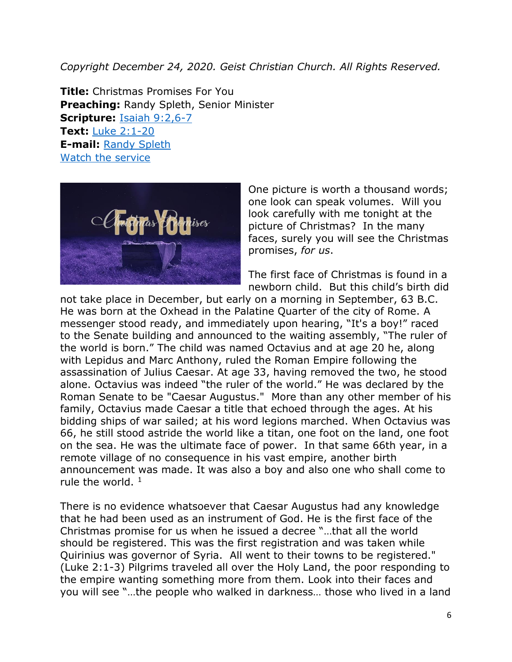*Copyright December 24, 2020. Geist Christian Church. All Rights Reserved.*

**Title:** Christmas Promises For You **Preaching:** Randy Spleth, Senior Minister **Scripture:** [Isaiah 9:2,6-7](https://www.biblegateway.com/passage/?search=Isaiah+9%3A2%2C6-7&version=NRSV) **Text:** [Luke 2:1-20](https://www.biblegateway.com/passage/?search=Luke+2%3A1-20&version=NRSV) **E-mail:** [Randy Spleth](mailto:randy.spleth@geistchristian.org) [Watch the service](https://youtu.be/hxjxg80eqoQ)



One picture is worth a thousand words; one look can speak volumes. Will you look carefully with me tonight at the picture of Christmas? In the many faces, surely you will see the Christmas promises, *for us*.

The first face of Christmas is found in a newborn child. But this child's birth did

not take place in December, but early on a morning in September, 63 B.C. He was born at the Oxhead in the Palatine Quarter of the city of Rome. A messenger stood ready, and immediately upon hearing, "It's a boy!" raced to the Senate building and announced to the waiting assembly, "The ruler of the world is born." The child was named Octavius and at age 20 he, along with Lepidus and Marc Anthony, ruled the Roman Empire following the assassination of Julius Caesar. At age 33, having removed the two, he stood alone. Octavius was indeed "the ruler of the world." He was declared by the Roman Senate to be "Caesar Augustus." More than any other member of his family, Octavius made Caesar a title that echoed through the ages. At his bidding ships of war sailed; at his word legions marched. When Octavius was 66, he still stood astride the world like a titan, one foot on the land, one foot on the sea. He was the ultimate face of power. In that same 66th year, in a remote village of no consequence in his vast empire, another birth announcement was made. It was also a boy and also one who shall come to rule the world.  $1$ 

There is no evidence whatsoever that Caesar Augustus had any knowledge that he had been used as an instrument of God. He is the first face of the Christmas promise for us when he issued a decree "…that all the world should be registered. This was the first registration and was taken while Quirinius was governor of Syria. All went to their towns to be registered." (Luke 2:1-3) Pilgrims traveled all over the Holy Land, the poor responding to the empire wanting something more from them. Look into their faces and you will see "…the people who walked in darkness… those who lived in a land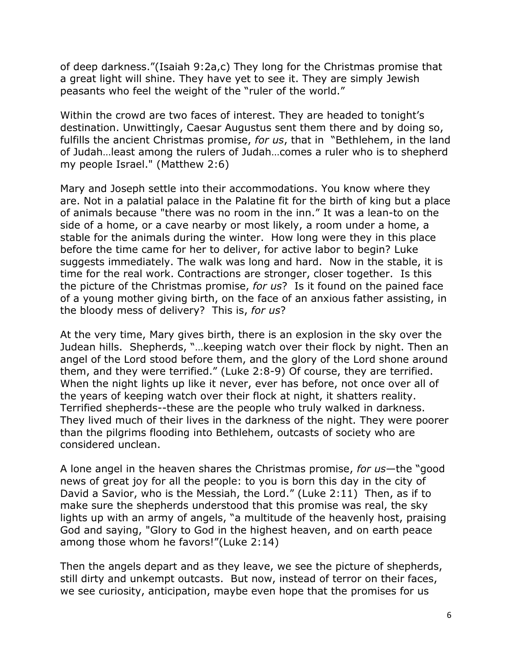of deep darkness."(Isaiah 9:2a,c) They long for the Christmas promise that a great light will shine. They have yet to see it. They are simply Jewish peasants who feel the weight of the "ruler of the world."

Within the crowd are two faces of interest. They are headed to tonight's destination. Unwittingly, Caesar Augustus sent them there and by doing so, fulfills the ancient Christmas promise, *for us*, that in "Bethlehem, in the land of Judah…least among the rulers of Judah…comes a ruler who is to shepherd my people Israel." (Matthew 2:6)

Mary and Joseph settle into their accommodations. You know where they are. Not in a palatial palace in the Palatine fit for the birth of king but a place of animals because "there was no room in the inn." It was a lean-to on the side of a home, or a cave nearby or most likely, a room under a home, a stable for the animals during the winter. How long were they in this place before the time came for her to deliver, for active labor to begin? Luke suggests immediately. The walk was long and hard. Now in the stable, it is time for the real work. Contractions are stronger, closer together. Is this the picture of the Christmas promise, *for us*? Is it found on the pained face of a young mother giving birth, on the face of an anxious father assisting, in the bloody mess of delivery? This is, *for us*?

At the very time, Mary gives birth, there is an explosion in the sky over the Judean hills. Shepherds, "…keeping watch over their flock by night. Then an angel of the Lord stood before them, and the glory of the Lord shone around them, and they were terrified." (Luke 2:8-9) Of course, they are terrified. When the night lights up like it never, ever has before, not once over all of the years of keeping watch over their flock at night, it shatters reality. Terrified shepherds--these are the people who truly walked in darkness. They lived much of their lives in the darkness of the night. They were poorer than the pilgrims flooding into Bethlehem, outcasts of society who are considered unclean.

A lone angel in the heaven shares the Christmas promise, *for us*—the "good news of great joy for all the people: to you is born this day in the city of David a Savior, who is the Messiah, the Lord." (Luke 2:11) Then, as if to make sure the shepherds understood that this promise was real, the sky lights up with an army of angels, "a multitude of the heavenly host, praising God and saying, "Glory to God in the highest heaven, and on earth peace among those whom he favors!"(Luke 2:14)

Then the angels depart and as they leave, we see the picture of shepherds, still dirty and unkempt outcasts. But now, instead of terror on their faces, we see curiosity, anticipation, maybe even hope that the promises for us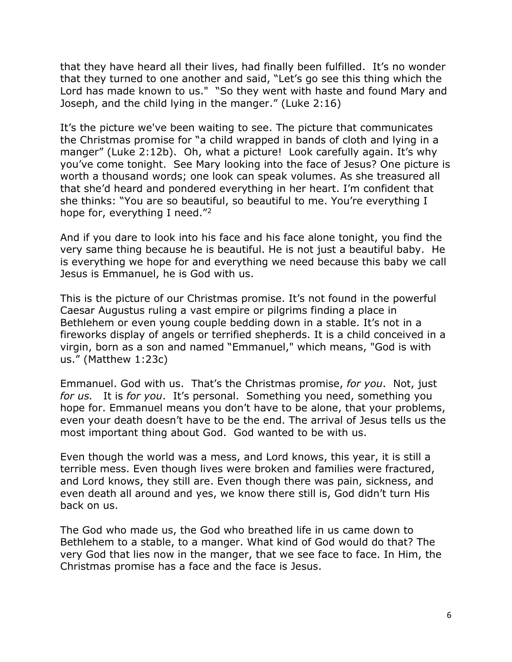that they have heard all their lives, had finally been fulfilled. It's no wonder that they turned to one another and said, "Let's go see this thing which the Lord has made known to us." "So they went with haste and found Mary and Joseph, and the child lying in the manger." (Luke 2:16)

It's the picture we've been waiting to see. The picture that communicates the Christmas promise for "a child wrapped in bands of cloth and lying in a manger" (Luke 2:12b). Oh, what a picture! Look carefully again. It's why you've come tonight. See Mary looking into the face of Jesus? One picture is worth a thousand words; one look can speak volumes. As she treasured all that she'd heard and pondered everything in her heart. I'm confident that she thinks: "You are so beautiful, so beautiful to me. You're everything I hope for, everything I need."<sup>2</sup>

And if you dare to look into his face and his face alone tonight, you find the very same thing because he is beautiful. He is not just a beautiful baby. He is everything we hope for and everything we need because this baby we call Jesus is Emmanuel, he is God with us.

This is the picture of our Christmas promise. It's not found in the powerful Caesar Augustus ruling a vast empire or pilgrims finding a place in Bethlehem or even young couple bedding down in a stable. It's not in a fireworks display of angels or terrified shepherds. It is a child conceived in a virgin, born as a son and named "Emmanuel," which means, "God is with us." (Matthew 1:23c)

Emmanuel. God with us. That's the Christmas promise, *for you*. Not, just *for us.* It is *for you*. It's personal. Something you need, something you hope for. Emmanuel means you don't have to be alone, that your problems, even your death doesn't have to be the end. The arrival of Jesus tells us the most important thing about God. God wanted to be with us.

Even though the world was a mess, and Lord knows, this year, it is still a terrible mess. Even though lives were broken and families were fractured, and Lord knows, they still are. Even though there was pain, sickness, and even death all around and yes, we know there still is, God didn't turn His back on us.

The God who made us, the God who breathed life in us came down to Bethlehem to a stable, to a manger. What kind of God would do that? The very God that lies now in the manger, that we see face to face. In Him, the Christmas promise has a face and the face is Jesus.